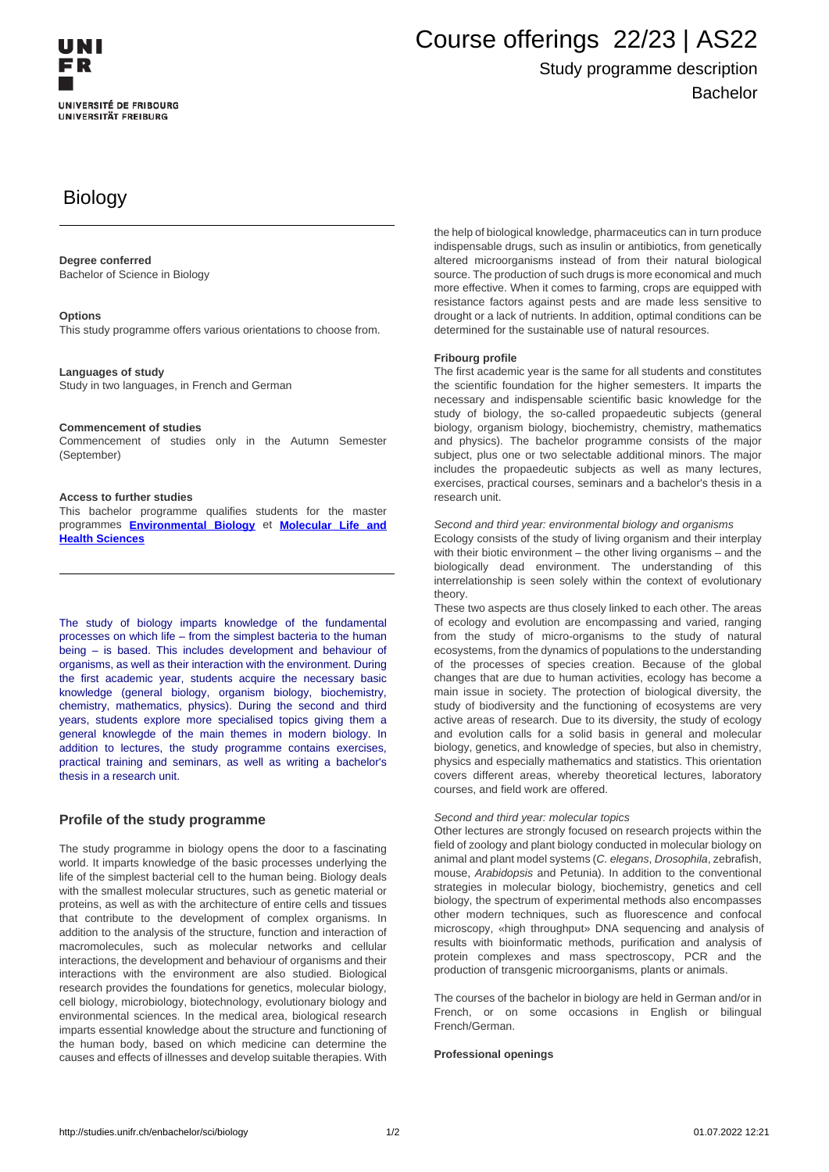# Course offerings 22/23 | AS22

# Study programme description Bachelor

# **Biology**

#### **Degree conferred**

Bachelor of Science in Biology

#### **Options**

This study programme offers various orientations to choose from.

#### **Languages of study**

Study in two languages, in French and German

#### **Commencement of studies**

Commencement of studies only in the Autumn Semester (September)

#### **Access to further studies**

This bachelor programme qualifies students for the master programmes **[Environmental Biology](http://studies.unifr.ch/en/master/sci/biology)** et **Molecular Life and Health Sciences**

The study of biology imparts knowledge of the fundamental processes on which life – from the simplest bacteria to the human being – is based. This includes development and behaviour of organisms, as well as their interaction with the environment. During the first academic year, students acquire the necessary basic knowledge (general biology, organism biology, biochemistry, chemistry, mathematics, physics). During the second and third years, students explore more specialised topics giving them a general knowlegde of the main themes in modern biology. In addition to lectures, the study programme contains exercises, practical training and seminars, as well as writing a bachelor's thesis in a research unit.

#### **Profile of the study programme**

The study programme in biology opens the door to a fascinating world. It imparts knowledge of the basic processes underlying the life of the simplest bacterial cell to the human being. Biology deals with the smallest molecular structures, such as genetic material or proteins, as well as with the architecture of entire cells and tissues that contribute to the development of complex organisms. In addition to the analysis of the structure, function and interaction of macromolecules, such as molecular networks and cellular interactions, the development and behaviour of organisms and their interactions with the environment are also studied. Biological research provides the foundations for genetics, molecular biology, cell biology, microbiology, biotechnology, evolutionary biology and environmental sciences. In the medical area, biological research imparts essential knowledge about the structure and functioning of the human body, based on which medicine can determine the causes and effects of illnesses and develop suitable therapies. With

the help of biological knowledge, pharmaceutics can in turn produce indispensable drugs, such as insulin or antibiotics, from genetically altered microorganisms instead of from their natural biological source. The production of such drugs is more economical and much more effective. When it comes to farming, crops are equipped with resistance factors against pests and are made less sensitive to drought or a lack of nutrients. In addition, optimal conditions can be determined for the sustainable use of natural resources.

#### **Fribourg profile**

The first academic year is the same for all students and constitutes the scientific foundation for the higher semesters. It imparts the necessary and indispensable scientific basic knowledge for the study of biology, the so-called propaedeutic subjects (general biology, organism biology, biochemistry, chemistry, mathematics and physics). The bachelor programme consists of the major subject, plus one or two selectable additional minors. The major includes the propaedeutic subjects as well as many lectures, exercises, practical courses, seminars and a bachelor's thesis in a research unit.

Second and third year: environmental biology and organisms

Ecology consists of the study of living organism and their interplay with their biotic environment – the other living organisms – and the biologically dead environment. The understanding of this interrelationship is seen solely within the context of evolutionary theory.

These two aspects are thus closely linked to each other. The areas of ecology and evolution are encompassing and varied, ranging from the study of micro-organisms to the study of natural ecosystems, from the dynamics of populations to the understanding of the processes of species creation. Because of the global changes that are due to human activities, ecology has become a main issue in society. The protection of biological diversity, the study of biodiversity and the functioning of ecosystems are very active areas of research. Due to its diversity, the study of ecology and evolution calls for a solid basis in general and molecular biology, genetics, and knowledge of species, but also in chemistry, physics and especially mathematics and statistics. This orientation covers different areas, whereby theoretical lectures, laboratory courses, and field work are offered.

#### Second and third year: molecular topics

Other lectures are strongly focused on research projects within the field of zoology and plant biology conducted in molecular biology on animal and plant model systems (C. elegans, Drosophila, zebrafish, mouse, Arabidopsis and Petunia). In addition to the conventional strategies in molecular biology, biochemistry, genetics and cell biology, the spectrum of experimental methods also encompasses other modern techniques, such as fluorescence and confocal microscopy, «high throughput» DNA sequencing and analysis of results with bioinformatic methods, purification and analysis of protein complexes and mass spectroscopy, PCR and the production of transgenic microorganisms, plants or animals.

The courses of the bachelor in biology are held in German and/or in French, or on some occasions in English or bilingual French/German.

#### **Professional openings**